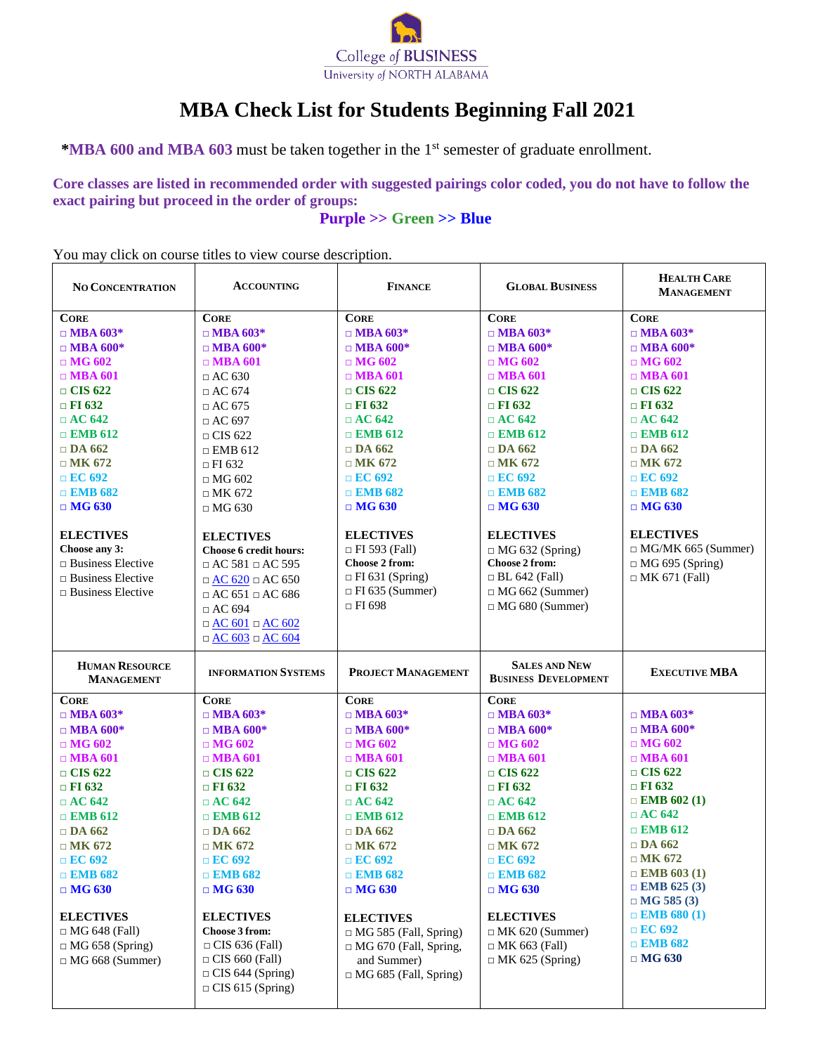

# **MBA Check List for Students Beginning Fall 2021**

**\*MBA 600 and MBA 603** must be taken together in the 1 st semester of graduate enrollment.

**Core classes are listed in recommended order with suggested pairings color coded, you do not have to follow the exact pairing but proceed in the order of groups:**

**Purple >> Green >> Blue**

You may click on course titles to view course description.

| <b>NO CONCENTRATION</b>                    | <b>ACCOUNTING</b>                                 | <b>FINANCE</b>               | <b>GLOBAL BUSINESS</b>                              | <b>HEALTH CARE</b><br><b>MANAGEMENT</b> |
|--------------------------------------------|---------------------------------------------------|------------------------------|-----------------------------------------------------|-----------------------------------------|
| <b>CORE</b>                                | <b>CORE</b>                                       | <b>CORE</b>                  | <b>CORE</b>                                         | <b>CORE</b>                             |
| $\Box$ MBA 603*                            | $\Box$ MBA 603*                                   | $\Box$ MBA 603*              | $\Box$ MBA 603*                                     | $\Box$ MBA 603*                         |
| $\Box$ MBA 600*                            | $\Box$ MBA 600*                                   | $\Box$ MBA 600*              | $\Box$ MBA 600*                                     | $\Box$ MBA 600*                         |
| $\Box$ MG 602                              | $\Box$ MBA 601                                    | $\Box$ MG 602                | $\Box$ MG 602                                       | $\Box$ MG 602                           |
| $\Box$ MBA 601                             | $\Box$ AC 630                                     | $\Box$ MBA 601               | $\Box$ MBA 601                                      | $\Box$ MBA 601                          |
| $\Box$ CIS 622                             | $\Box$ AC 674                                     | $\Box$ CIS 622               | $\Box$ CIS 622                                      | $\Box$ CIS 622                          |
| $\Box$ FI 632                              | $\Box$ AC 675                                     | $\Box$ FI 632                | $\Box$ FI 632                                       | $\Box$ FI 632                           |
| $\Box$ AC 642                              | $\Box$ AC 697                                     | $\Box$ AC 642                | $\Box$ AC 642                                       | $\Box$ AC 642                           |
| $\Box$ EMB 612                             | $\Box$ CIS 622                                    | $\Box$ EMB 612               | $\Box$ EMB 612                                      | $\Box$ EMB 612                          |
| $\Box$ DA 662                              | $\Box$ EMB 612                                    | $\Box$ DA 662                | $\Box$ DA 662                                       | $\Box$ DA 662                           |
| $\Box$ MK 672                              | $\Box$ FI 632                                     | $\Box$ MK 672                | $\Box$ MK 672                                       | $\Box$ MK 672                           |
| $\Box$ EC 692                              | $\Box$ MG 602                                     | $\Box$ EC 692                | $\Box$ EC 692                                       | $\Box$ EC 692                           |
| $\Box$ EMB 682                             | $\Box$ MK 672                                     | $\Box$ EMB 682               | $\Box$ EMB 682                                      | $\Box$ EMB 682                          |
| $\Box$ MG 630                              | $\Box$ MG 630                                     | $\Box$ MG 630                | $\Box$ MG 630                                       | $\Box$ MG 630                           |
| <b>ELECTIVES</b>                           | <b>ELECTIVES</b>                                  | <b>ELECTIVES</b>             | <b>ELECTIVES</b>                                    | <b>ELECTIVES</b>                        |
| Choose any 3:                              | Choose 6 credit hours:                            | $\Box$ FI 593 (Fall)         | $\Box$ MG 632 (Spring)                              | $\Box$ MG/MK 665 (Summer)               |
| $\Box$ Business Elective                   | $\Box$ AC 581 $\Box$ AC 595                       | Choose 2 from:               | Choose 2 from:                                      | $\Box$ MG 695 (Spring)                  |
| $\Box$ Business Elective                   | $\Box$ AC 620 $\Box$ AC 650                       | $\Box$ FI 631 (Spring)       | $\Box$ BL 642 (Fall)                                | $\Box$ MK 671 (Fall)                    |
| $\Box$ Business Elective                   | $\Box$ AC 651 $\Box$ AC 686                       | $\Box$ FI 635 (Summer)       | $\Box$ MG 662 (Summer)                              |                                         |
|                                            | $\Box$ AC 694                                     | $\Box$ FI 698                | $\Box$ MG 680 (Summer)                              |                                         |
|                                            | $\Box$ <u>AC 601</u> $\Box$ AC 602                |                              |                                                     |                                         |
|                                            | $\Box \underline{AC} 603 \Box \underline{AC} 604$ |                              |                                                     |                                         |
| <b>HUMAN RESOURCE</b><br><b>MANAGEMENT</b> | <b>INFORMATION SYSTEMS</b>                        | <b>PROJECT MANAGEMENT</b>    | <b>SALES AND NEW</b><br><b>BUSINESS DEVELOPMENT</b> | <b>EXECUTIVE MBA</b>                    |
| <b>CORE</b>                                | <b>CORE</b>                                       | <b>CORE</b>                  | <b>CORE</b>                                         |                                         |
| $\Box$ MBA 603*                            | $\Box$ MBA 603*                                   | $\Box$ MBA 603*              | $\Box$ MBA 603*                                     | $\Box$ MBA 603*                         |
| $\Box$ MBA 600*                            | $\Box$ MBA 600*                                   | $\Box$ MBA 600*              | $\Box$ MBA 600*                                     | $\Box$ MBA 600*                         |
| $\Box$ MG 602                              | $\Box$ MG 602                                     | $\Box$ MG 602                | $\Box$ MG 602                                       | $\Box$ MG 602                           |
| $\Box$ MBA 601                             | $\Box$ MBA 601                                    | $\Box$ MBA 601               | $\Box$ MBA 601                                      | $\Box$ MBA 601                          |
| $\Box$ CIS 622                             | $\Box$ CIS 622                                    | $\Box$ CIS 622               | $\Box$ CIS 622                                      | $\Box$ CIS 622                          |
| $\Box$ FI 632                              | $\Box$ FI 632                                     | $\Box$ FI 632                | $\Box$ FI 632                                       | $\Box$ FI 632                           |
| $\Box$ AC 642                              | $\Box$ AC 642                                     | $\Box$ AC 642                | $\Box$ AC 642                                       | $\Box$ EMB 602 (1)                      |
| $\Box$ EMB 612                             | $\Box$ EMB 612                                    | $\Box$ EMB 612               | $\Box$ EMB 612                                      | $\Box$ AC 642                           |
| $\Box$ DA 662                              | $\Box$ DA 662                                     | $\Box$ DA 662                | $\Box$ DA 662                                       | $\Box$ EMB 612                          |
| $\Box$ MK 672                              | $\Box$ MK 672                                     | $\Box$ MK 672                | $\Box$ MK 672                                       | $\Box$ DA 662                           |
| $\Box$ EC 692                              | $\Box$ EC 692                                     | $\Box$ EC 692                | $\Box$ EC 692                                       | $\Box$ MK 672                           |
| $\Box$ EMB 682                             | $\Box$ EMB 682                                    | $\Box$ EMB 682               | $\Box$ EMB 682                                      | $\Box$ EMB 603 (1)                      |
| $\Box$ MG 630                              | $\Box$ MG 630                                     | $\Box$ MG 630                | $\Box$ MG 630                                       | $\Box$ EMB 625 (3)<br>$\Box$ MG 585 (3) |
| <b>ELECTIVES</b>                           | <b>ELECTIVES</b>                                  | <b>ELECTIVES</b>             | <b>ELECTIVES</b>                                    | $\Box$ EMB 680 (1)                      |
| $\Box$ MG 648 (Fall)                       | Choose 3 from:                                    | $\Box$ MG 585 (Fall, Spring) | $\Box$ MK 620 (Summer)                              | $\Box$ EC 692                           |
| $\Box$ MG 658 (Spring)                     | $\Box$ CIS 636 (Fall)                             | $\Box$ MG 670 (Fall, Spring, | $\Box$ MK 663 (Fall)                                | $\Box$ EMB 682                          |
| $\Box$ MG 668 (Summer)                     | $\Box$ CIS 660 (Fall)                             | and Summer)                  | $\Box$ MK 625 (Spring)                              | $\Box$ MG 630                           |
|                                            | $\Box$ CIS 644 (Spring)                           | $\Box$ MG 685 (Fall, Spring) |                                                     |                                         |
|                                            | $\Box$ CIS 615 (Spring)                           |                              |                                                     |                                         |
|                                            |                                                   |                              |                                                     |                                         |